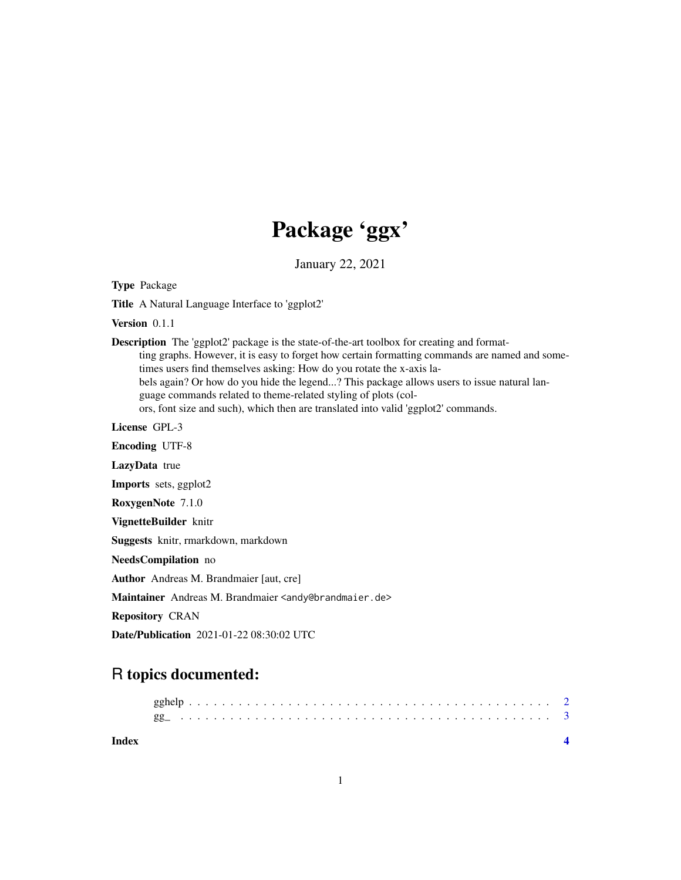## Package 'ggx'

January 22, 2021

Type Package

Title A Natural Language Interface to 'ggplot2'

Version 0.1.1

Description The 'ggplot2' package is the state-of-the-art toolbox for creating and formatting graphs. However, it is easy to forget how certain formatting commands are named and sometimes users find themselves asking: How do you rotate the x-axis labels again? Or how do you hide the legend...? This package allows users to issue natural language commands related to theme-related styling of plots (colors, font size and such), which then are translated into valid 'ggplot2' commands.

License GPL-3

Encoding UTF-8 LazyData true Imports sets, ggplot2 RoxygenNote 7.1.0 VignetteBuilder knitr Suggests knitr, rmarkdown, markdown NeedsCompilation no Author Andreas M. Brandmaier [aut, cre] Maintainer Andreas M. Brandmaier <andy@brandmaier.de> Repository CRAN Date/Publication 2021-01-22 08:30:02 UTC

### R topics documented:

| Index |  |  |  |  |  |  |  |  |  |  |  |  |  |  |  |  |  |  |  |  |  |  |
|-------|--|--|--|--|--|--|--|--|--|--|--|--|--|--|--|--|--|--|--|--|--|--|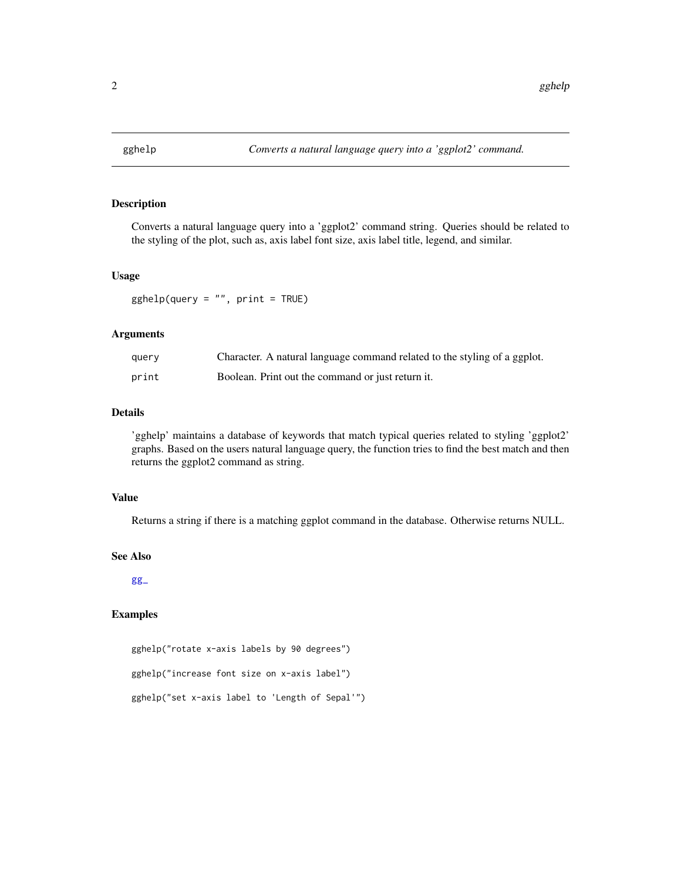<span id="page-1-1"></span><span id="page-1-0"></span>

#### Description

Converts a natural language query into a 'ggplot2' command string. Queries should be related to the styling of the plot, such as, axis label font size, axis label title, legend, and similar.

#### Usage

 $gghelp(query = "", print = TRUE)$ 

#### Arguments

| query | Character. A natural language command related to the styling of a ggplot. |
|-------|---------------------------------------------------------------------------|
| print | Boolean. Print out the command or just return it.                         |

#### Details

'gghelp' maintains a database of keywords that match typical queries related to styling 'ggplot2' graphs. Based on the users natural language query, the function tries to find the best match and then returns the ggplot2 command as string.

#### Value

Returns a string if there is a matching ggplot command in the database. Otherwise returns NULL.

#### See Also

[gg\\_](#page-2-1)

#### Examples

gghelp("rotate x-axis labels by 90 degrees") gghelp("increase font size on x-axis label") gghelp("set x-axis label to 'Length of Sepal'")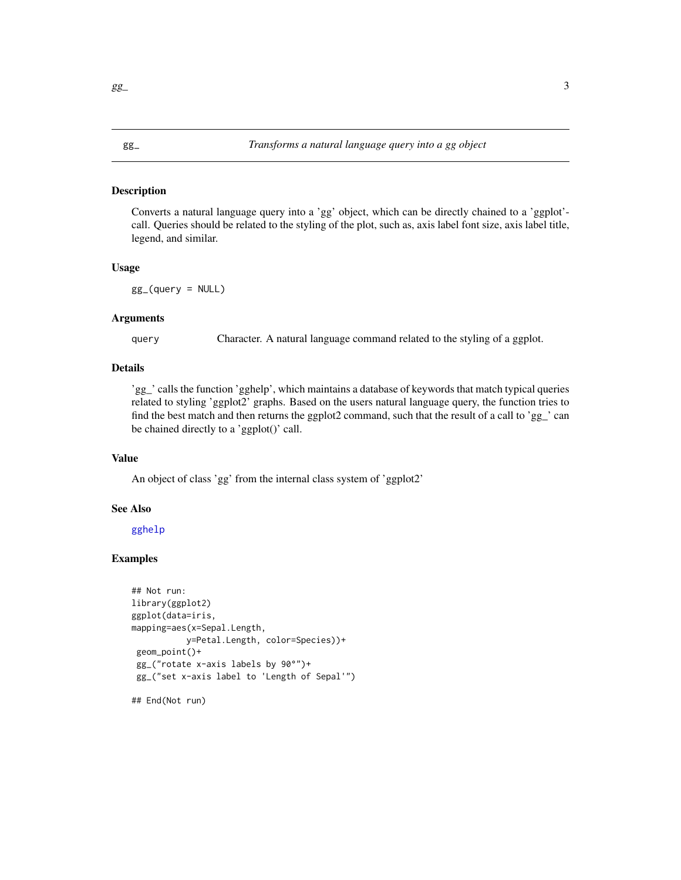#### <span id="page-2-1"></span><span id="page-2-0"></span>Description

Converts a natural language query into a 'gg' object, which can be directly chained to a 'ggplot' call. Queries should be related to the styling of the plot, such as, axis label font size, axis label title, legend, and similar.

#### Usage

 $gg_{-}(query = NULL)$ 

#### Arguments

query Character. A natural language command related to the styling of a ggplot.

#### Details

'gg\_' calls the function 'gghelp', which maintains a database of keywords that match typical queries related to styling 'ggplot2' graphs. Based on the users natural language query, the function tries to find the best match and then returns the ggplot2 command, such that the result of a call to 'gg\_' can be chained directly to a 'ggplot()' call.

#### Value

An object of class 'gg' from the internal class system of 'ggplot2'

#### See Also

[gghelp](#page-1-1)

#### Examples

```
## Not run:
library(ggplot2)
ggplot(data=iris,
mapping=aes(x=Sepal.Length,
           y=Petal.Length, color=Species))+
geom_point()+
gg_("rotate x-axis labels by 90°")+
gg_("set x-axis label to 'Length of Sepal'")
```
## End(Not run)